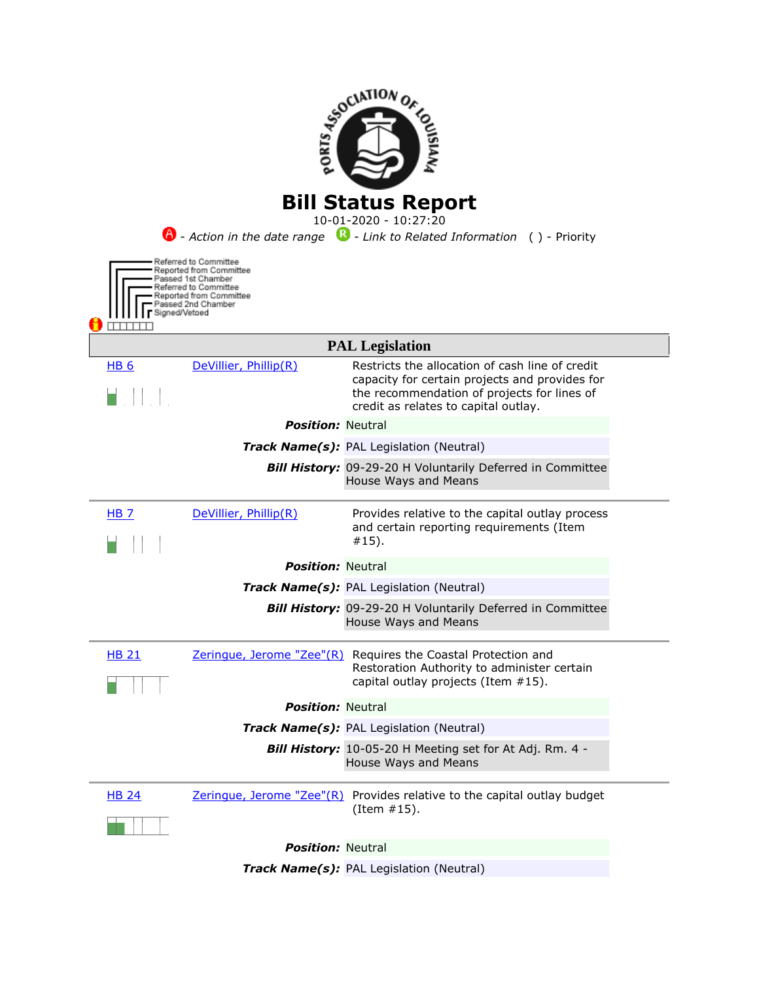

*Track Name(s):* PAL Legislation (Neutral)